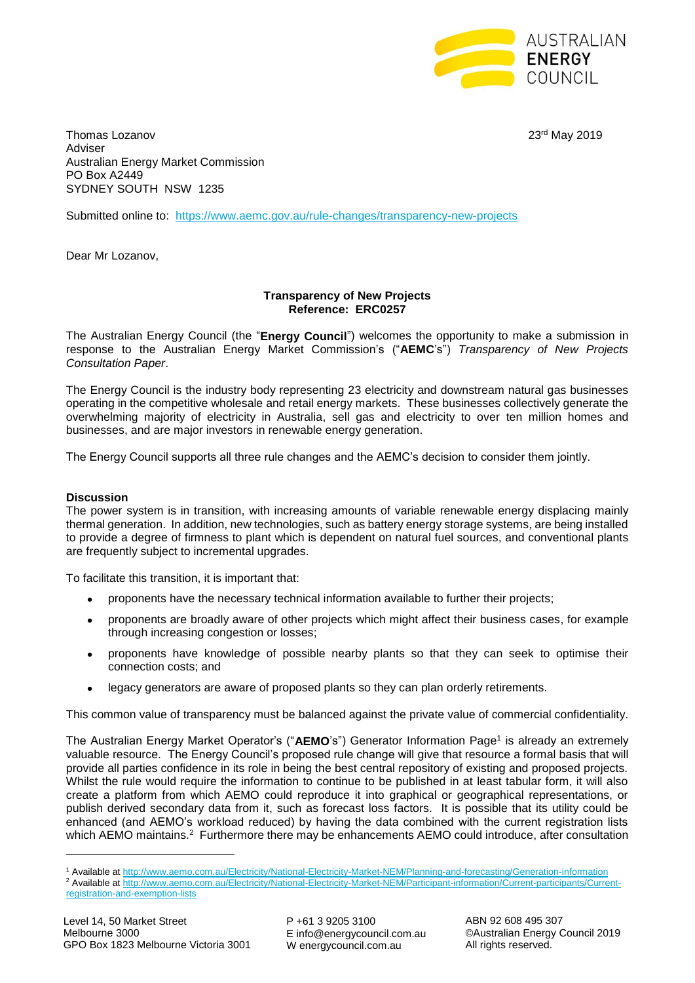

Thomas Lozanov 2019 **23rd May 2019** Adviser Australian Energy Market Commission PO Box A2449 SYDNEY SOUTH NSW 1235

Submitted online to: <https://www.aemc.gov.au/rule-changes/transparency-new-projects>

Dear Mr Lozanov,

## **Transparency of New Projects Reference: ERC0257**

The Australian Energy Council (the "**Energy Council**") welcomes the opportunity to make a submission in response to the Australian Energy Market Commission's ("**AEMC**'s") *Transparency of New Projects Consultation Paper*.

The Energy Council is the industry body representing 23 electricity and downstream natural gas businesses operating in the competitive wholesale and retail energy markets. These businesses collectively generate the overwhelming majority of electricity in Australia, sell gas and electricity to over ten million homes and businesses, and are major investors in renewable energy generation.

The Energy Council supports all three rule changes and the AEMC's decision to consider them jointly.

## **Discussion**

**.** 

The power system is in transition, with increasing amounts of variable renewable energy displacing mainly thermal generation. In addition, new technologies, such as battery energy storage systems, are being installed to provide a degree of firmness to plant which is dependent on natural fuel sources, and conventional plants are frequently subject to incremental upgrades.

To facilitate this transition, it is important that:

- proponents have the necessary technical information available to further their projects;
- proponents are broadly aware of other projects which might affect their business cases, for example through increasing congestion or losses;
- proponents have knowledge of possible nearby plants so that they can seek to optimise their connection costs; and
- legacy generators are aware of proposed plants so they can plan orderly retirements.

This common value of transparency must be balanced against the private value of commercial confidentiality.

The Australian Energy Market Operator's ("AEMO's") Generator Information Page<sup>1</sup> is already an extremely valuable resource. The Energy Council's proposed rule change will give that resource a formal basis that will provide all parties confidence in its role in being the best central repository of existing and proposed projects. Whilst the rule would require the information to continue to be published in at least tabular form, it will also create a platform from which AEMO could reproduce it into graphical or geographical representations, or publish derived secondary data from it, such as forecast loss factors. It is possible that its utility could be enhanced (and AEMO's workload reduced) by having the data combined with the current registration lists which AEMO maintains.<sup>2</sup> Furthermore there may be enhancements AEMO could introduce, after consultation

<sup>1</sup> Available a[t http://www.aemo.com.au/Electricity/National-Electricity-Market-NEM/Planning-and-forecasting/Generation-information](http://www.aemo.com.au/Electricity/National-Electricity-Market-NEM/Planning-and-forecasting/Generation-information)

<sup>2</sup> Available a[t http://www.aemo.com.au/Electricity/National-Electricity-Market-NEM/Participant-information/Current-participants/Current](http://www.aemo.com.au/Electricity/National-Electricity-Market-NEM/Participant-information/Current-participants/Current-registration-and-exemption-lists)[registration-and-exemption-lists](http://www.aemo.com.au/Electricity/National-Electricity-Market-NEM/Participant-information/Current-participants/Current-registration-and-exemption-lists)